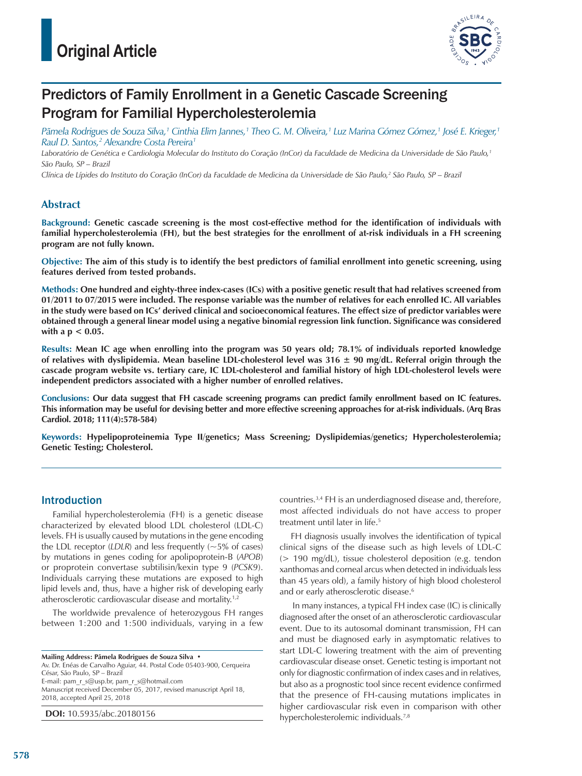

# Predictors of Family Enrollment in a Genetic Cascade Screening Program for Familial Hypercholesterolemia

*Pãmela Rodrigues de Souza Silva,1 Cinthia Elim Jannes,1 Theo G. M. Oliveira,1 Luz Marina Gómez Gómez,1 José E. Krieger,1 Raul D. Santos,2 Alexandre Costa Pereira1*

*Laboratório de Genética e Cardiologia Molecular do Instituto do Coração (InCor) da Faculdade de Medicina da Universidade de São Paulo,1 São Paulo, SP – Brazil*

*Clínica de Lípides do Instituto do Coração (InCor) da Faculdade de Medicina da Universidade de São Paulo,2 São Paulo, SP – Brazil*

### **Abstract**

**Background: Genetic cascade screening is the most cost-effective method for the identification of individuals with familial hypercholesterolemia (FH), but the best strategies for the enrollment of at-risk individuals in a FH screening program are not fully known.**

**Objective: The aim of this study is to identify the best predictors of familial enrollment into genetic screening, using features derived from tested probands.**

**Methods: One hundred and eighty-three index-cases (ICs) with a positive genetic result that had relatives screened from 01/2011 to 07/2015 were included. The response variable was the number of relatives for each enrolled IC. All variables in the study were based on ICs' derived clinical and socioeconomical features. The effect size of predictor variables were obtained through a general linear model using a negative binomial regression link function. Significance was considered with a p < 0.05.**

**Results: Mean IC age when enrolling into the program was 50 years old; 78.1% of individuals reported knowledge of relatives with dyslipidemia. Mean baseline LDL-cholesterol level was 316 ± 90 mg/dL. Referral origin through the cascade program website vs. tertiary care, IC LDL-cholesterol and familial history of high LDL-cholesterol levels were independent predictors associated with a higher number of enrolled relatives.**

**Conclusions: Our data suggest that FH cascade screening programs can predict family enrollment based on IC features. This information may be useful for devising better and more effective screening approaches for at-risk individuals. (Arq Bras Cardiol. 2018; 111(4):578-584)**

**Keywords: Hypelipoproteinemia Type II/genetics; Mass Screening; Dyslipidemias/genetics; Hypercholesterolemia; Genetic Testing; Cholesterol.**

### Introduction

Familial hypercholesterolemia (FH) is a genetic disease characterized by elevated blood LDL cholesterol (LDL-C) levels. FH is usually caused by mutations in the gene encoding the LDL receptor  $(LDLR)$  and less frequently  $(-5\%$  of cases) by mutations in genes coding for apolipoprotein-B (*APOB*) or proprotein convertase subtilisin/kexin type 9 (*PCSK9*). Individuals carrying these mutations are exposed to high lipid levels and, thus, have a higher risk of developing early atherosclerotic cardiovascular disease and mortality.1,2

The worldwide prevalence of heterozygous FH ranges between 1:200 and 1:500 individuals, varying in a few

**Mailing Address: Pãmela Rodrigues de Souza Silva •**

Av. Dr. Enéas de Carvalho Aguiar, 44. Postal Code 05403-900, Cerqueira César, São Paulo, SP – Brazil E-mail: pam\_r\_s@usp.br, pam\_r\_s@hotmail.com Manuscript received December 05, 2017, revised manuscript April 18, 2018, accepted April 25, 2018

**DOI:** 10.5935/abc.20180156

countries.3,4 FH is an underdiagnosed disease and, therefore, most affected individuals do not have access to proper treatment until later in life.<sup>5</sup>

FH diagnosis usually involves the identification of typical clinical signs of the disease such as high levels of LDL-C (> 190 mg/dL), tissue cholesterol deposition (e.g. tendon xanthomas and corneal arcus when detected in individuals less than 45 years old), a family history of high blood cholesterol and or early atherosclerotic disease.<sup>6</sup>

 In many instances, a typical FH index case (IC) is clinically diagnosed after the onset of an atherosclerotic cardiovascular event. Due to its autosomal dominant transmission, FH can and must be diagnosed early in asymptomatic relatives to start LDL-C lowering treatment with the aim of preventing cardiovascular disease onset. Genetic testing is important not only for diagnostic confirmation of index cases and in relatives, but also as a prognostic tool since recent evidence confirmed that the presence of FH-causing mutations implicates in higher cardiovascular risk even in comparison with other hypercholesterolemic individuals.7,8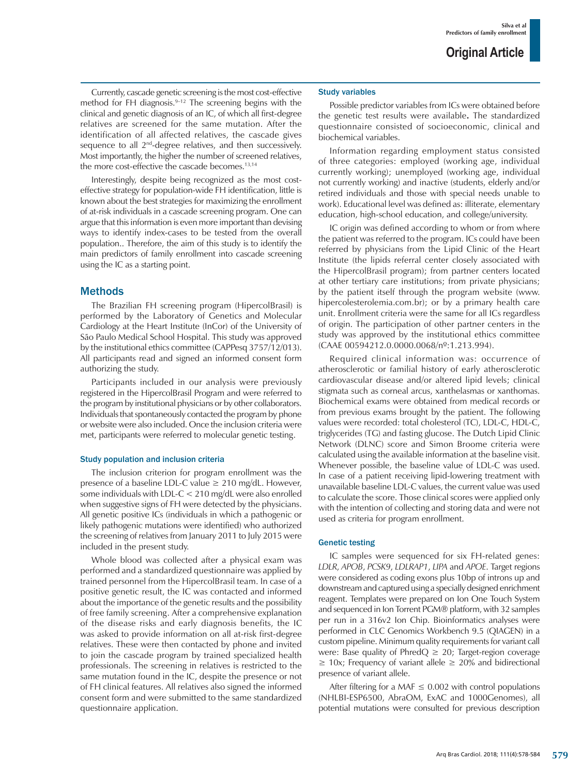Currently, cascade genetic screening is the most cost-effective method for FH diagnosis.<sup>9-12</sup> The screening begins with the clinical and genetic diagnosis of an IC, of which all first-degree relatives are screened for the same mutation. After the identification of all affected relatives, the cascade gives sequence to all 2<sup>nd</sup>-degree relatives, and then successively. Most importantly, the higher the number of screened relatives, the more cost-effective the cascade becomes.<sup>13,14</sup>

Interestingly, despite being recognized as the most costeffective strategy for population-wide FH identification, little is known about the best strategies for maximizing the enrollment of at-risk individuals in a cascade screening program. One can argue that this information is even more important than devising ways to identify index-cases to be tested from the overall population.. Therefore, the aim of this study is to identify the main predictors of family enrollment into cascade screening using the IC as a starting point.

### Methods

The Brazilian FH screening program (HipercolBrasil) is performed by the Laboratory of Genetics and Molecular Cardiology at the Heart Institute (InCor) of the University of São Paulo Medical School Hospital. This study was approved by the institutional ethics committee (CAPPesq 3757/12/013). All participants read and signed an informed consent form authorizing the study.

Participants included in our analysis were previously registered in the HipercolBrasil Program and were referred to the program by institutional physicians or by other collaborators. Individuals that spontaneously contacted the program by phone or website were also included. Once the inclusion criteria were met, participants were referred to molecular genetic testing.

### Study population and inclusion criteria

The inclusion criterion for program enrollment was the presence of a baseline LDL-C value  $\geq 210$  mg/dL. However, some individuals with LDL-C < 210 mg/dL were also enrolled when suggestive signs of FH were detected by the physicians. All genetic positive ICs (individuals in which a pathogenic or likely pathogenic mutations were identified) who authorized the screening of relatives from January 2011 to July 2015 were included in the present study.

Whole blood was collected after a physical exam was performed and a standardized questionnaire was applied by trained personnel from the HipercolBrasil team. In case of a positive genetic result, the IC was contacted and informed about the importance of the genetic results and the possibility of free family screening. After a comprehensive explanation of the disease risks and early diagnosis benefits, the IC was asked to provide information on all at-risk first-degree relatives. These were then contacted by phone and invited to join the cascade program by trained specialized health professionals. The screening in relatives is restricted to the same mutation found in the IC, despite the presence or not of FH clinical features. All relatives also signed the informed consent form and were submitted to the same standardized questionnaire application.

### Study variables

Possible predictor variables from ICs were obtained before the genetic test results were available**.** The standardized questionnaire consisted of socioeconomic, clinical and biochemical variables.

Information regarding employment status consisted of three categories: employed (working age, individual currently working); unemployed (working age, individual not currently working) and inactive (students, elderly and/or retired individuals and those with special needs unable to work). Educational level was defined as: illiterate, elementary education, high-school education, and college/university.

IC origin was defined according to whom or from where the patient was referred to the program. ICs could have been referred by physicians from the Lipid Clinic of the Heart Institute (the lipids referral center closely associated with the HipercolBrasil program); from partner centers located at other tertiary care institutions; from private physicians; by the patient itself through the program website (www. hipercolesterolemia.com.br); or by a primary health care unit. Enrollment criteria were the same for all ICs regardless of origin. The participation of other partner centers in the study was approved by the institutional ethics committee (CAAE 00594212.0.0000.0068/nº:1.213.994).

Required clinical information was: occurrence of atherosclerotic or familial history of early atherosclerotic cardiovascular disease and/or altered lipid levels; clinical stigmata such as corneal arcus, xanthelasmas or xanthomas. Biochemical exams were obtained from medical records or from previous exams brought by the patient. The following values were recorded: total cholesterol (TC), LDL-C, HDL-C, triglycerides (TG) and fasting glucose. The Dutch Lipid Clinic Network (DLNC) score and Simon Broome criteria were calculated using the available information at the baseline visit. Whenever possible, the baseline value of LDL-C was used. In case of a patient receiving lipid-lowering treatment with unavailable baseline LDL-C values, the current value was used to calculate the score. Those clinical scores were applied only with the intention of collecting and storing data and were not used as criteria for program enrollment.

### Genetic testing

IC samples were sequenced for six FH-related genes: *LDLR*, *APOB*, *PCSK9*, *LDLRAP1*, *LIPA* and *APOE*. Target regions were considered as coding exons plus 10bp of introns up and downstream and captured using a specially designed enrichment reagent. Templates were prepared on Ion One Touch System and sequenced in Ion Torrent PGM® platform, with 32 samples per run in a 316v2 Ion Chip. Bioinformatics analyses were performed in CLC Genomics Workbench 9.5 (QIAGEN) in a custom pipeline. Minimum quality requirements for variant call were: Base quality of Phred $Q \geq 20$ ; Target-region coverage  $\geq$  10x; Frequency of variant allele  $\geq$  20% and bidirectional presence of variant allele.

After filtering for a MAF  $\leq$  0.002 with control populations (NHLBI-ESP6500, AbraOM, ExAC and 1000Genomes), all potential mutations were consulted for previous description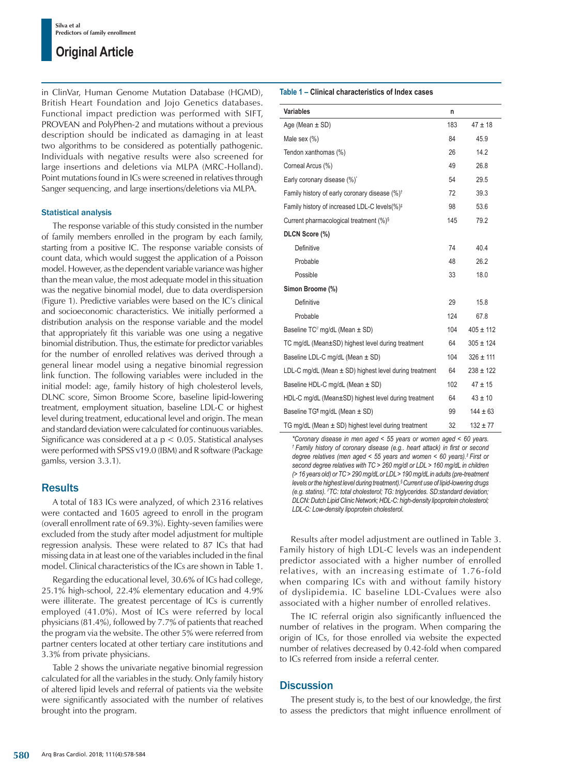## **Original Article**

in ClinVar, Human Genome Mutation Database (HGMD), British Heart Foundation and Jojo Genetics databases. Functional impact prediction was performed with SIFT, PROVEAN and PolyPhen-2 and mutations without a previous description should be indicated as damaging in at least two algorithms to be considered as potentially pathogenic. Individuals with negative results were also screened for large insertions and deletions via MLPA (MRC-Holland). Point mutations found in ICs were screened in relatives through Sanger sequencing, and large insertions/deletions via MLPA.

### Statistical analysis

The response variable of this study consisted in the number of family members enrolled in the program by each family, starting from a positive IC. The response variable consists of count data, which would suggest the application of a Poisson model. However, as the dependent variable variance was higher than the mean value, the most adequate model in this situation was the negative binomial model, due to data overdispersion (Figure 1). Predictive variables were based on the IC's clinical and socioeconomic characteristics. We initially performed a distribution analysis on the response variable and the model that appropriately fit this variable was one using a negative binomial distribution. Thus, the estimate for predictor variables for the number of enrolled relatives was derived through a general linear model using a negative binomial regression link function. The following variables were included in the initial model: age, family history of high cholesterol levels, DLNC score, Simon Broome Score, baseline lipid-lowering treatment, employment situation, baseline LDL-C or highest level during treatment, educational level and origin. The mean and standard deviation were calculated for continuous variables. Significance was considered at a p < 0.05. Statistical analyses were performed with SPSS v19.0 (IBM) and R software (Package gamlss, version 3.3.1).

## **Results**

A total of 183 ICs were analyzed, of which 2316 relatives were contacted and 1605 agreed to enroll in the program (overall enrollment rate of 69.3%). Eighty-seven families were excluded from the study after model adjustment for multiple regression analysis. These were related to 87 ICs that had missing data in at least one of the variables included in the final model. Clinical characteristics of the ICs are shown in Table 1.

Regarding the educational level, 30.6% of ICs had college, 25.1% high-school, 22.4% elementary education and 4.9% were illiterate. The greatest percentage of ICs is currently employed (41.0%). Most of ICs were referred by local physicians (81.4%), followed by 7.7% of patients that reached the program via the website. The other 5% were referred from partner centers located at other tertiary care institutions and 3.3% from private physicians.

Table 2 shows the univariate negative binomial regression calculated for all the variables in the study. Only family history of altered lipid levels and referral of patients via the website were significantly associated with the number of relatives brought into the program.

### **Table 1 – Clinical characteristics of Index cases**

| <b>Variables</b>                                           | n   |               |
|------------------------------------------------------------|-----|---------------|
| Age (Mean $\pm$ SD)                                        | 183 | $47 \pm 18$   |
| Male sex (%)                                               | 84  | 45.9          |
| Tendon xanthomas (%)                                       | 26  | 14.2          |
| Corneal Arcus (%)                                          | 49  | 26.8          |
| Early coronary disease (%)*                                | 54  | 29.5          |
| Family history of early coronary disease (%) <sup>t</sup>  | 72  | 39.3          |
| Family history of increased LDL-C levels(%) <sup>‡</sup>   | 98  | 53.6          |
| Current pharmacological treatment (%) <sup>§</sup>         | 145 | 79.2          |
| DLCN Score (%)                                             |     |               |
| Definitive                                                 | 74  | 40.4          |
| Probable                                                   | 48  | 26.2          |
| Possible                                                   | 33  | 18.0          |
| Simon Broome (%)                                           |     |               |
| Definitive                                                 | 29  | 15.8          |
| Probable                                                   | 124 | 67.8          |
| Baseline $TC''$ mg/dL (Mean $\pm$ SD)                      | 104 | $405 \pm 112$ |
| TC mg/dL (Mean±SD) highest level during treatment          | 64  | $305 \pm 124$ |
| Baseline LDL-C mg/dL (Mean $\pm$ SD)                       | 104 | $326 \pm 111$ |
| LDL-C mg/dL (Mean $\pm$ SD) highest level during treatment | 64  | $238 \pm 122$ |
| Baseline HDL-C mg/dL (Mean $\pm$ SD)                       | 102 | $47 \pm 15$   |
| HDL-C mg/dL (Mean±SD) highest level during treatment       | 64  | $43 \pm 10$   |
| Baseline TG <sup>1</sup> mg/dL (Mean $\pm$ SD)             | 99  | $144 \pm 63$  |
| TG mg/dL (Mean $\pm$ SD) highest level during treatment    | 32  | $132 + 77$    |

*\*Coronary disease in men aged < 55 years or women aged < 60 years. † Family history of coronary disease (e.g.. heart attack) in first or second degree relatives (men aged < 55 years and women < 60 years).‡ First or second degree relatives with TC > 260 mg/dl or LDL > 160 mg/dL in children (> 16 years old) or TC > 290 mg/dL or LDL > 190 mg/dL in adults (pre-treatment levels or the highest level during treatment).§ Current use of lipid-lowering drugs (e.g. statins). //TC: total cholesterol; TG: triglycerides. SD:standard deviation; DLCN: Dutch Lipid Clinic Network; HDL-C: high-density lipoprotein cholesterol; LDL-C: Low-density lipoprotein cholesterol.*

Results after model adjustment are outlined in Table 3. Family history of high LDL-C levels was an independent predictor associated with a higher number of enrolled relatives, with an increasing estimate of 1.76-fold when comparing ICs with and without family history of dyslipidemia. IC baseline LDL-Cvalues were also associated with a higher number of enrolled relatives.

The IC referral origin also significantly influenced the number of relatives in the program. When comparing the origin of ICs, for those enrolled via website the expected number of relatives decreased by 0.42-fold when compared to ICs referred from inside a referral center.

## **Discussion**

The present study is, to the best of our knowledge, the first to assess the predictors that might influence enrollment of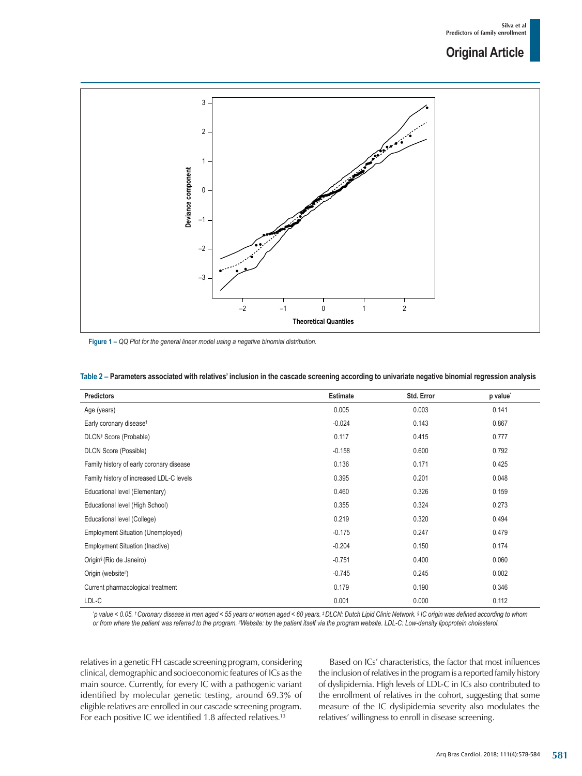## **Original Article**



**Figure 1 –** *QQ Plot for the general linear model using a negative binomial distribution.*

| Predictors                               | <b>Estimate</b> | Std. Error | p value <sup>*</sup> |
|------------------------------------------|-----------------|------------|----------------------|
| Age (years)                              | 0.005           | 0.003      | 0.141                |
| Early coronary disease <sup>t</sup>      | $-0.024$        | 0.143      | 0.867                |
| DLCN <sup>#</sup> Score (Probable)       | 0.117           | 0.415      | 0.777                |
| <b>DLCN Score (Possible)</b>             | $-0.158$        | 0.600      | 0.792                |
| Family history of early coronary disease | 0.136           | 0.171      | 0.425                |
| Family history of increased LDL-C levels | 0.395           | 0.201      | 0.048                |
| Educational level (Elementary)           | 0.460           | 0.326      | 0.159                |
| Educational level (High School)          | 0.355           | 0.324      | 0.273                |
| Educational level (College)              | 0.219           | 0.320      | 0.494                |
| <b>Employment Situation (Unemployed)</b> | $-0.175$        | 0.247      | 0.479                |
| <b>Employment Situation (Inactive)</b>   | $-0.204$        | 0.150      | 0.174                |
| Origin <sup>§</sup> (Rio de Janeiro)     | $-0.751$        | 0.400      | 0.060                |
| Origin (website <sup>//</sup> )          | $-0.745$        | 0.245      | 0.002                |
| Current pharmacological treatment        | 0.179           | 0.190      | 0.346                |
| LDL-C                                    | 0.001           | 0.000      | 0.112                |

#### **Table 2 – Parameters associated with relatives' inclusion in the cascade screening according to univariate negative binomial regression analysis**

'p value < 0.05. †Coronary disease in men aged < 55 years or women aged < 60 years. ‡DLCN: Dutch Lipid Clinic Network. § IC origin was defined according to whom *or from where the patient was referred to the program. //Website: by the patient itself via the program website. LDL-C: Low-density lipoprotein cholesterol.*

relatives in a genetic FH cascade screening program, considering clinical, demographic and socioeconomic features of ICs as the main source. Currently, for every IC with a pathogenic variant identified by molecular genetic testing, around 69.3% of eligible relatives are enrolled in our cascade screening program. For each positive IC we identified 1.8 affected relatives.<sup>13</sup>

Based on ICs' characteristics, the factor that most influences the inclusion of relatives in the program is a reported family history of dyslipidemia. High levels of LDL-C in ICs also contributed to the enrollment of relatives in the cohort, suggesting that some measure of the IC dyslipidemia severity also modulates the relatives' willingness to enroll in disease screening.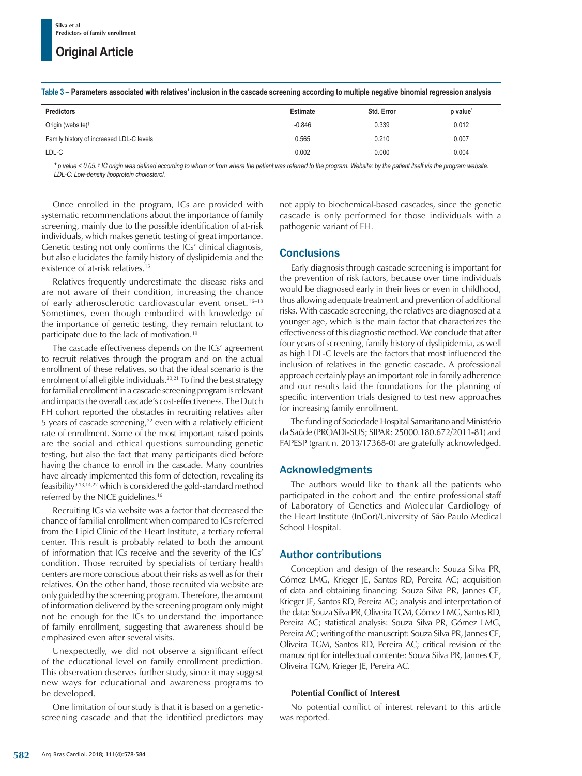## **Original Article**

|  |  |  |  | Table 3 – Parameters associated with relatives' inclusion in the cascade screening according to multiple negative binomial regression analysis |  |
|--|--|--|--|------------------------------------------------------------------------------------------------------------------------------------------------|--|
|  |  |  |  |                                                                                                                                                |  |

| <b>Predictors</b>                        | <b>Estimate</b> | Std. Error | p value <sup>-</sup> |
|------------------------------------------|-----------------|------------|----------------------|
| Origin (website) <sup>†</sup>            | $-0.846$        | 0.339      | 0.012                |
| Family history of increased LDL-C levels | 0.565           | 0.210      | 0.007                |
| LDL-C                                    | 0.002           | 0.000      | 0.004                |

\* p value < 0.05. <sup>†</sup> IC origin was defined according to whom or from where the patient was referred to the program. Website: by the patient itself via the program website. *LDL-C: Low-density lipoprotein cholesterol.*

Once enrolled in the program, ICs are provided with systematic recommendations about the importance of family screening, mainly due to the possible identification of at-risk individuals, which makes genetic testing of great importance. Genetic testing not only confirms the ICs' clinical diagnosis, but also elucidates the family history of dyslipidemia and the existence of at-risk relatives.15

Relatives frequently underestimate the disease risks and are not aware of their condition, increasing the chance of early atherosclerotic cardiovascular event onset.<sup>16-18</sup> Sometimes, even though embodied with knowledge of the importance of genetic testing, they remain reluctant to participate due to the lack of motivation.19

The cascade effectiveness depends on the ICs' agreement to recruit relatives through the program and on the actual enrollment of these relatives, so that the ideal scenario is the enrolment of all eligible individuals.<sup>20,21</sup> To find the best strategy for familial enrollment in a cascade screening program is relevant and impacts the overall cascade's cost-effectiveness. The Dutch FH cohort reported the obstacles in recruiting relatives after 5 years of cascade screening, $22$  even with a relatively efficient rate of enrollment. Some of the most important raised points are the social and ethical questions surrounding genetic testing, but also the fact that many participants died before having the chance to enroll in the cascade. Many countries have already implemented this form of detection, revealing its feasibility9,13,14,22 which is considered the gold-standard method referred by the NICE guidelines.<sup>16</sup>

Recruiting ICs via website was a factor that decreased the chance of familial enrollment when compared to ICs referred from the Lipid Clinic of the Heart Institute, a tertiary referral center. This result is probably related to both the amount of information that ICs receive and the severity of the ICs' condition. Those recruited by specialists of tertiary health centers are more conscious about their risks as well as for their relatives. On the other hand, those recruited via website are only guided by the screening program. Therefore, the amount of information delivered by the screening program only might not be enough for the ICs to understand the importance of family enrollment, suggesting that awareness should be emphasized even after several visits.

Unexpectedly, we did not observe a significant effect of the educational level on family enrollment prediction. This observation deserves further study, since it may suggest new ways for educational and awareness programs to be developed.

One limitation of our study is that it is based on a geneticscreening cascade and that the identified predictors may not apply to biochemical-based cascades, since the genetic cascade is only performed for those individuals with a pathogenic variant of FH.

## **Conclusions**

Early diagnosis through cascade screening is important for the prevention of risk factors, because over time individuals would be diagnosed early in their lives or even in childhood, thus allowing adequate treatment and prevention of additional risks. With cascade screening, the relatives are diagnosed at a younger age, which is the main factor that characterizes the effectiveness of this diagnostic method. We conclude that after four years of screening, family history of dyslipidemia, as well as high LDL-C levels are the factors that most influenced the inclusion of relatives in the genetic cascade. A professional approach certainly plays an important role in family adherence and our results laid the foundations for the planning of specific intervention trials designed to test new approaches for increasing family enrollment.

The funding of Sociedade Hospital Samaritano and Ministério da Saúde (PROADI-SUS; SIPAR: 25000.180.672/2011-81) and FAPESP (grant n. 2013/17368-0) are gratefully acknowledged.

## Acknowledgments

The authors would like to thank all the patients who participated in the cohort and the entire professional staff of Laboratory of Genetics and Molecular Cardiology of the Heart Institute (InCor)/University of São Paulo Medical School Hospital.

## Author contributions

Conception and design of the research: Souza Silva PR, Gómez LMG, Krieger JE, Santos RD, Pereira AC; acquisition of data and obtaining financing: Souza Silva PR, Jannes CE, Krieger JE, Santos RD, Pereira AC; analysis and interpretation of the data: Souza Silva PR, Oliveira TGM, Gómez LMG, SantosRD, Pereira AC; statistical analysis: Souza Silva PR, Gómez LMG, Pereira AC; writing of the manuscript: Souza Silva PR, Jannes CE, Oliveira TGM, Santos RD, Pereira AC; critical revision of the manuscript for intellectual contente: Souza Silva PR, Jannes CE, Oliveira TGM, Krieger JE, Pereira AC.

## **Potential Conflict of Interest**

No potential conflict of interest relevant to this article was reported.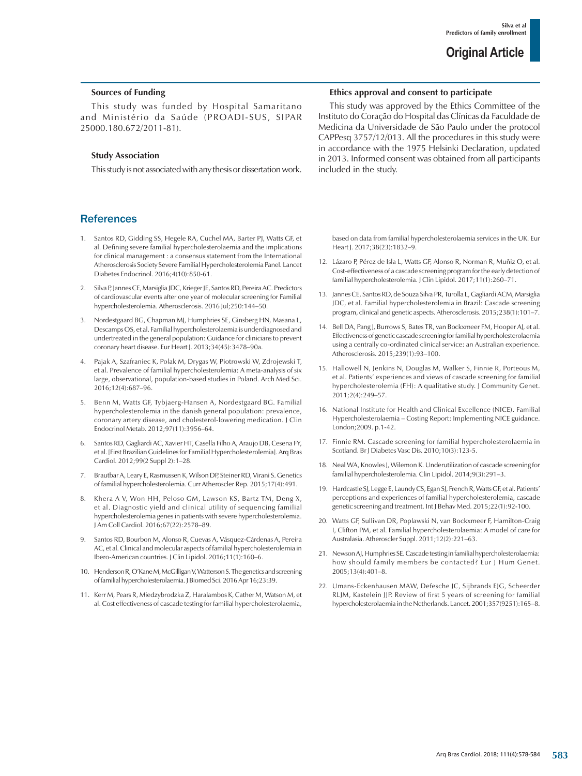### **Sources of Funding**

This study was funded by Hospital Samaritano and Ministério da Saúde (PROADI-SUS, SIPAR 25000.180.672/2011-81).

#### **Study Association**

This study is not associated with any thesis or dissertation work.

### **References**

- 1. Santos RD, Gidding SS, Hegele RA, Cuchel MA, Barter PJ, Watts GF, et al. Defining severe familial hypercholesterolaemia and the implications for clinical management : a consensus statement from the International Atherosclerosis Society Severe Familial Hypercholesterolemia Panel. Lancet Diabetes Endocrinol. 2016;4(10):850-61.
- 2. Silva P, Jannes CE, Marsiglia JDC, Krieger JE, Santos RD, Pereira AC. Predictors of cardiovascular events after one year of molecular screening for Familial hypercholesterolemia. Atherosclerosis. 2016 Jul;250:144–50.
- 3. Nordestgaard BG, Chapman MJ, Humphries SE, Ginsberg HN, Masana L, Descamps OS, et al. Familial hypercholesterolaemia is underdiagnosed and undertreated in the general population: Guidance for clinicians to prevent coronary heart disease. Eur Heart J. 2013;34(45):3478–90a.
- 4. Pajak A, Szafraniec K, Polak M, Drygas W, Piotrowski W, Zdrojewski T, et al. Prevalence of familial hypercholesterolemia: A meta-analysis of six large, observational, population-based studies in Poland. Arch Med Sci. 2016;12(4):687–96.
- 5. Benn M, Watts GF, Tybjaerg-Hansen A, Nordestgaard BG. Familial hypercholesterolemia in the danish general population: prevalence, coronary artery disease, and cholesterol-lowering medication. J Clin Endocrinol Metab. 2012;97(11):3956–64.
- 6. Santos RD, Gagliardi AC, Xavier HT, Casella Filho A, Araujo DB, Cesena FY, et al. [First Brazilian Guidelines for Familial Hypercholesterolemia]. Arq Bras Cardiol. 2012;99(2 Suppl 2):1–28.
- 7. Brautbar A, Leary E, Rasmussen K, Wilson DP, Steiner RD, Virani S. Genetics of familial hypercholesterolemia. Curr Atheroscler Rep. 2015;17(4):491.
- 8. Khera A V, Won HH, Peloso GM, Lawson KS, Bartz TM, Deng X, et al. Diagnostic yield and clinical utility of sequencing familial hypercholesterolemia genes in patients with severe hypercholesterolemia. J Am Coll Cardiol. 2016;67(22):2578–89.
- 9. Santos RD, Bourbon M, Alonso R, Cuevas A, Vásquez-Cárdenas A, Pereira AC, et al. Clinical and molecular aspects of familial hypercholesterolemia in Ibero-American countries. J Clin Lipidol. 2016;11(1):160–6.
- 10. Henderson R, O'Kane M, McGilligan V, Watterson S. The genetics and screening of familial hypercholesterolaemia. J Biomed Sci. 2016 Apr 16;23:39.
- 11. Kerr M, Pears R, Miedzybrodzka Z, Haralambos K, Cather M, Watson M, et al. Cost effectiveness of cascade testing for familial hypercholesterolaemia,

#### **Ethics approval and consent to participate**

This study was approved by the Ethics Committee of the Instituto do Coração do Hospital das Clínicas da Faculdade de Medicina da Universidade de São Paulo under the protocol CAPPesq 3757/12/013. All the procedures in this study were in accordance with the 1975 Helsinki Declaration, updated in 2013. Informed consent was obtained from all participants included in the study.

based on data from familial hypercholesterolaemia services in the UK. Eur Heart J. 2017;38(23):1832–9.

- 12. Lázaro P, Pérez de Isla L, Watts GF, Alonso R, Norman R, Muñiz O, et al. Cost-effectiveness of a cascade screening program for the early detection of familial hypercholesterolemia. J Clin Lipidol. 2017;11(1):260–71.
- 13. Jannes CE, Santos RD, de Souza Silva PR, Turolla L, Gagliardi ACM, Marsiglia JDC, et al. Familial hypercholesterolemia in Brazil: Cascade screening program, clinical and genetic aspects. Atherosclerosis. 2015;238(1):101–7.
- 14. Bell DA, Pang J, Burrows S, Bates TR, van Bockxmeer FM, Hooper AJ, et al. Effectiveness of genetic cascade screening for familial hypercholesterolaemia using a centrally co-ordinated clinical service: an Australian experience. Atherosclerosis. 2015;239(1):93–100.
- 15. Hallowell N, Jenkins N, Douglas M, Walker S, Finnie R, Porteous M, et al. Patients' experiences and views of cascade screening for familial hypercholesterolemia (FH): A qualitative study. J Community Genet. 2011;2(4):249–57.
- 16. National Institute for Health and Clinical Excellence (NICE). Familial Hypercholesterolaemia – Costing Report: Implementing NICE guidance. London;2009. p.1-42.
- 17. Finnie RM. Cascade screening for familial hypercholesterolaemia in Scotland. Br J Diabetes Vasc Dis. 2010;10(3):123-5.
- 18. Neal WA, Knowles J, Wilemon K. Underutilization of cascade screening for familial hypercholesterolemia. Clin Lipidol. 2014;9(3):291–3.
- 19. Hardcastle SJ, Legge E, Laundy CS, Egan SJ, French R, Watts GF, et al. Patients' perceptions and experiences of familial hypercholesterolemia, cascade genetic screening and treatment. Int J Behav Med. 2015;22(1):92-100.
- 20. Watts GF, Sullivan DR, Poplawski N, van Bockxmeer F, Hamilton-Craig I, Clifton PM, et al. Familial hypercholesterolaemia: A model of care for Australasia. Atheroscler Suppl. 2011;12(2):221–63.
- 21. Newson AJ, Humphries SE. Cascade testing in familial hypercholesterolaemia: how should family members be contacted? Eur J Hum Genet. 2005;13(4):401–8.
- 22. Umans-Eckenhausen MAW, Defesche JC, Sijbrands EJG, Scheerder RLJM, Kastelein JJP. Review of first 5 years of screening for familial hypercholesterolaemia in the Netherlands. Lancet. 2001;357(9251):165–8.